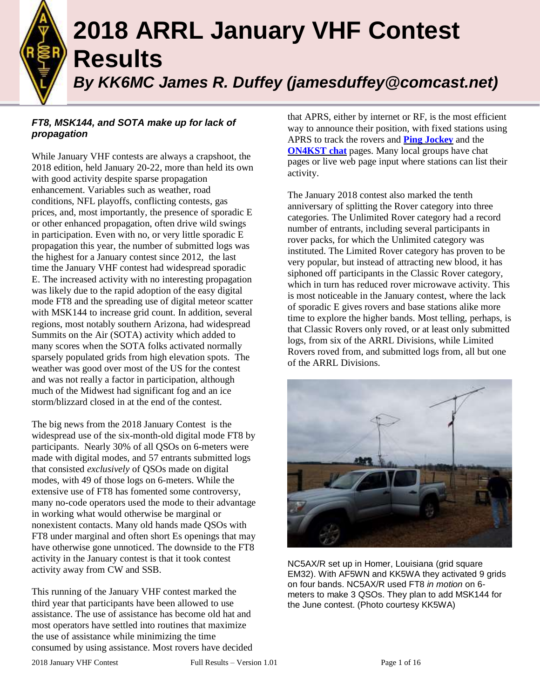

# **2018 ARRL January VHF Contest Results** *By KK6MC James R. Duffey (jamesduffey@comcast.net)*

#### *FT8, MSK144, and SOTA make up for lack of propagation*

While January VHF contests are always a crapshoot, the 2018 edition, held January 20-22, more than held its own with good activity despite sparse propagation enhancement. Variables such as weather, road conditions, NFL playoffs, conflicting contests, gas prices, and, most importantly, the presence of sporadic E or other enhanced propagation, often drive wild swings in participation. Even with no, or very little sporadic E propagation this year, the number of submitted logs was the highest for a January contest since 2012, the last time the January VHF contest had widespread sporadic E. The increased activity with no interesting propagation was likely due to the rapid adoption of the easy digital mode FT8 and the spreading use of digital meteor scatter with MSK144 to increase grid count. In addition, several regions, most notably southern Arizona, had widespread Summits on the Air (SOTA) activity which added to many scores when the SOTA folks activated normally sparsely populated grids from high elevation spots. The weather was good over most of the US for the contest and was not really a factor in participation, although much of the Midwest had significant fog and an ice storm/blizzard closed in at the end of the contest.

The big news from the 2018 January Contest is the widespread use of the six-month-old digital mode FT8 by participants. Nearly 30% of all QSOs on 6-meters were made with digital modes, and 57 entrants submitted logs that consisted *exclusively* of QSOs made on digital modes, with 49 of those logs on 6-meters. While the extensive use of FT8 has fomented some controversy, many no-code operators used the mode to their advantage in working what would otherwise be marginal or nonexistent contacts. Many old hands made QSOs with FT8 under marginal and often short Es openings that may have otherwise gone unnoticed. The downside to the FT8 activity in the January contest is that it took contest activity away from CW and SSB.

This running of the January VHF contest marked the third year that participants have been allowed to use assistance. The use of assistance has become old hat and most operators have settled into routines that maximize the use of assistance while minimizing the time consumed by using assistance. Most rovers have decided that APRS, either by internet or RF, is the most efficient way to announce their position, with fixed stations using APRS to track the rovers and **Ping [Jockey](https://www.pingjockey.net/)** and the **[ON4KST](http://www.on4kst.com/chat/) chat** pages. Many local groups have chat pages or live web page input where stations can list their activity.

The January 2018 contest also marked the tenth anniversary of splitting the Rover category into three categories. The Unlimited Rover category had a record number of entrants, including several participants in rover packs, for which the Unlimited category was instituted. The Limited Rover category has proven to be very popular, but instead of attracting new blood, it has siphoned off participants in the Classic Rover category, which in turn has reduced rover microwave activity. This is most noticeable in the January contest, where the lack of sporadic E gives rovers and base stations alike more time to explore the higher bands. Most telling, perhaps, is that Classic Rovers only roved, or at least only submitted logs, from six of the ARRL Divisions, while Limited Rovers roved from, and submitted logs from, all but one of the ARRL Divisions.



NC5AX/R set up in Homer, Louisiana (grid square EM32). With AF5WN and KK5WA they activated 9 grids on four bands. NC5AX/R used FT8 *in motion* on 6 meters to make 3 QSOs. They plan to add MSK144 for the June contest. (Photo courtesy KK5WA)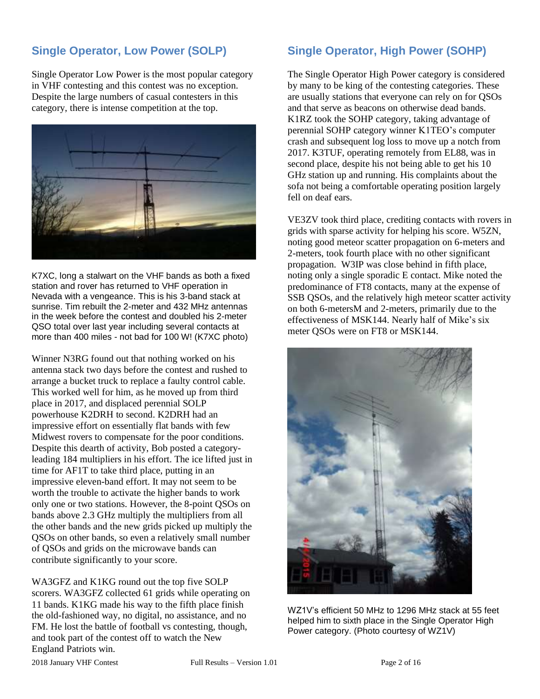# **Single Operator, Low Power (SOLP)**

Single Operator Low Power is the most popular category in VHF contesting and this contest was no exception. Despite the large numbers of casual contesters in this category, there is intense competition at the top.



K7XC, long a stalwart on the VHF bands as both a fixed station and rover has returned to VHF operation in Nevada with a vengeance. This is his 3-band stack at sunrise. Tim rebuilt the 2-meter and 432 MHz antennas in the week before the contest and doubled his 2-meter QSO total over last year including several contacts at more than 400 miles - not bad for 100 W! (K7XC photo)

Winner N3RG found out that nothing worked on his antenna stack two days before the contest and rushed to arrange a bucket truck to replace a faulty control cable. This worked well for him, as he moved up from third place in 2017, and displaced perennial SOLP powerhouse K2DRH to second. K2DRH had an impressive effort on essentially flat bands with few Midwest rovers to compensate for the poor conditions. Despite this dearth of activity, Bob posted a categoryleading 184 multipliers in his effort. The ice lifted just in time for AF1T to take third place, putting in an impressive eleven-band effort. It may not seem to be worth the trouble to activate the higher bands to work only one or two stations. However, the 8-point QSOs on bands above 2.3 GHz multiply the multipliers from all the other bands and the new grids picked up multiply the QSOs on other bands, so even a relatively small number of QSOs and grids on the microwave bands can contribute significantly to your score.

WA3GFZ and K1KG round out the top five SOLP scorers. WA3GFZ collected 61 grids while operating on 11 bands. K1KG made his way to the fifth place finish the old-fashioned way, no digital, no assistance, and no FM. He lost the battle of football vs contesting, though, and took part of the contest off to watch the New England Patriots win.

### **Single Operator, High Power (SOHP)**

The Single Operator High Power category is considered by many to be king of the contesting categories. These are usually stations that everyone can rely on for QSOs and that serve as beacons on otherwise dead bands. K1RZ took the SOHP category, taking advantage of perennial SOHP category winner K1TEO's computer crash and subsequent log loss to move up a notch from 2017. K3TUF, operating remotely from EL88, was in second place, despite his not being able to get his 10 GHz station up and running. His complaints about the sofa not being a comfortable operating position largely fell on deaf ears.

VE3ZV took third place, crediting contacts with rovers in grids with sparse activity for helping his score. W5ZN, noting good meteor scatter propagation on 6-meters and 2-meters, took fourth place with no other significant propagation. W3IP was close behind in fifth place, noting only a single sporadic E contact. Mike noted the predominance of FT8 contacts, many at the expense of SSB QSOs, and the relatively high meteor scatter activity on both 6-metersM and 2-meters, primarily due to the effectiveness of MSK144. Nearly half of Mike's six meter QSOs were on FT8 or MSK144.



WZ1V's efficient 50 MHz to 1296 MHz stack at 55 feet helped him to sixth place in the Single Operator High Power category. (Photo courtesy of WZ1V)

2018 January VHF Contest Full Results – Version 1.01 Page 2 of 16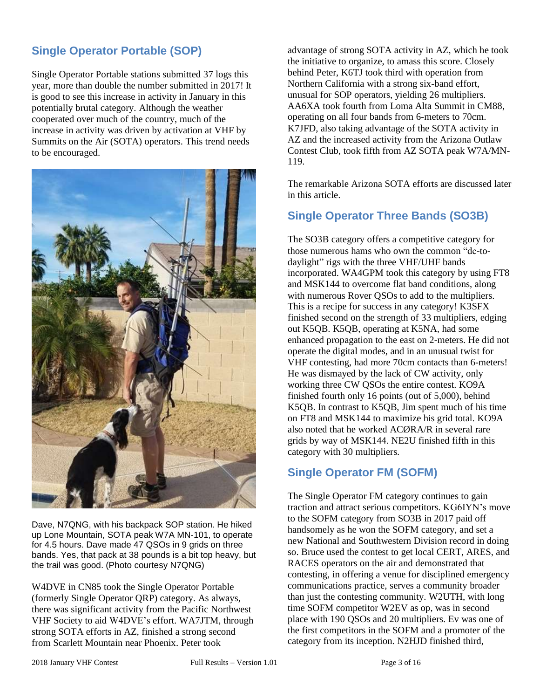# **Single Operator Portable (SOP)**

Single Operator Portable stations submitted 37 logs this year, more than double the number submitted in 2017! It is good to see this increase in activity in January in this potentially brutal category. Although the weather cooperated over much of the country, much of the increase in activity was driven by activation at VHF by Summits on the Air (SOTA) operators. This trend needs to be encouraged.



Dave, N7QNG, with his backpack SOP station. He hiked up Lone Mountain, SOTA peak W7A MN-101, to operate for 4.5 hours. Dave made 47 QSOs in 9 grids on three bands. Yes, that pack at 38 pounds is a bit top heavy, but the trail was good. (Photo courtesy N7QNG)

W4DVE in CN85 took the Single Operator Portable (formerly Single Operator QRP) category. As always, there was significant activity from the Pacific Northwest VHF Society to aid W4DVE's effort. WA7JTM, through strong SOTA efforts in AZ, finished a strong second from Scarlett Mountain near Phoenix. Peter took

advantage of strong SOTA activity in AZ, which he took the initiative to organize, to amass this score. Closely behind Peter, K6TJ took third with operation from Northern California with a strong six-band effort, unusual for SOP operators, yielding 26 multipliers. AA6XA took fourth from Loma Alta Summit in CM88, operating on all four bands from 6-meters to 70cm. K7JFD, also taking advantage of the SOTA activity in AZ and the increased activity from the Arizona Outlaw Contest Club, took fifth from AZ SOTA peak W7A/MN-119.

The remarkable Arizona SOTA efforts are discussed later in this article.

#### **Single Operator Three Bands (SO3B)**

The SO3B category offers a competitive category for those numerous hams who own the common "dc-todaylight" rigs with the three VHF/UHF bands incorporated. WA4GPM took this category by using FT8 and MSK144 to overcome flat band conditions, along with numerous Rover QSOs to add to the multipliers. This is a recipe for success in any category! K3SFX finished second on the strength of 33 multipliers, edging out K5QB. K5QB, operating at K5NA, had some enhanced propagation to the east on 2-meters. He did not operate the digital modes, and in an unusual twist for VHF contesting, had more 70cm contacts than 6-meters! He was dismayed by the lack of CW activity, only working three CW QSOs the entire contest. KO9A finished fourth only 16 points (out of 5,000), behind K5QB. In contrast to K5QB, Jim spent much of his time on FT8 and MSK144 to maximize his grid total. KO9A also noted that he worked ACØRA/R in several rare grids by way of MSK144. NE2U finished fifth in this category with 30 multipliers.

#### **Single Operator FM (SOFM)**

The Single Operator FM category continues to gain traction and attract serious competitors. KG6IYN's move to the SOFM category from SO3B in 2017 paid off handsomely as he won the SOFM category, and set a new National and Southwestern Division record in doing so. Bruce used the contest to get local CERT, ARES, and RACES operators on the air and demonstrated that contesting, in offering a venue for disciplined emergency communications practice, serves a community broader than just the contesting community. W2UTH, with long time SOFM competitor W2EV as op, was in second place with 190 QSOs and 20 multipliers. Ev was one of the first competitors in the SOFM and a promoter of the category from its inception. N2HJD finished third,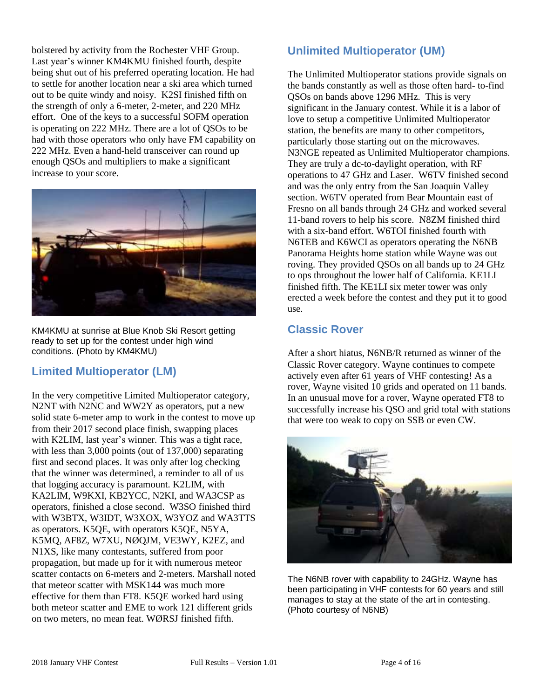bolstered by activity from the Rochester VHF Group. Last year's winner KM4KMU finished fourth, despite being shut out of his preferred operating location. He had to settle for another location near a ski area which turned out to be quite windy and noisy. K2SI finished fifth on the strength of only a 6-meter, 2-meter, and 220 MHz effort. One of the keys to a successful SOFM operation is operating on 222 MHz. There are a lot of QSOs to be had with those operators who only have FM capability on 222 MHz. Even a hand-held transceiver can round up enough QSOs and multipliers to make a significant increase to your score.



KM4KMU at sunrise at Blue Knob Ski Resort getting ready to set up for the contest under high wind conditions. (Photo by KM4KMU)

#### **Limited Multioperator (LM)**

In the very competitive Limited Multioperator category, N2NT with N2NC and WW2Y as operators, put a new solid state 6-meter amp to work in the contest to move up from their 2017 second place finish, swapping places with K2LIM, last year's winner. This was a tight race, with less than 3,000 points (out of 137,000) separating first and second places. It was only after log checking that the winner was determined, a reminder to all of us that logging accuracy is paramount. K2LIM, with KA2LIM, W9KXI, KB2YCC, N2KI, and WA3CSP as operators, finished a close second. W3SO finished third with W3BTX, W3IDT, W3XOX, W3YOZ and WA3TTS as operators. K5QE, with operators K5QE, N5YA, K5MQ, AF8Z, W7XU, NØQJM, VE3WY, K2EZ, and N1XS, like many contestants, suffered from poor propagation, but made up for it with numerous meteor scatter contacts on 6-meters and 2-meters. Marshall noted that meteor scatter with MSK144 was much more effective for them than FT8. K5QE worked hard using both meteor scatter and EME to work 121 different grids on two meters, no mean feat. WØRSJ finished fifth.

# **Unlimited Multioperator (UM)**

The Unlimited Multioperator stations provide signals on the bands constantly as well as those often hard- to-find QSOs on bands above 1296 MHz. This is very significant in the January contest. While it is a labor of love to setup a competitive Unlimited Multioperator station, the benefits are many to other competitors, particularly those starting out on the microwaves. N3NGE repeated as Unlimited Multioperator champions. They are truly a dc-to-daylight operation, with RF operations to 47 GHz and Laser. W6TV finished second and was the only entry from the San Joaquin Valley section. W6TV operated from Bear Mountain east of Fresno on all bands through 24 GHz and worked several 11-band rovers to help his score. N8ZM finished third with a six-band effort. W6TOI finished fourth with N6TEB and K6WCI as operators operating the N6NB Panorama Heights home station while Wayne was out roving. They provided QSOs on all bands up to 24 GHz to ops throughout the lower half of California. KE1LI finished fifth. The KE1LI six meter tower was only erected a week before the contest and they put it to good use.

### **Classic Rover**

After a short hiatus, N6NB/R returned as winner of the Classic Rover category. Wayne continues to compete actively even after 61 years of VHF contesting! As a rover, Wayne visited 10 grids and operated on 11 bands. In an unusual move for a rover, Wayne operated FT8 to successfully increase his QSO and grid total with stations that were too weak to copy on SSB or even CW.



The N6NB rover with capability to 24GHz. Wayne has been participating in VHF contests for 60 years and still manages to stay at the state of the art in contesting. (Photo courtesy of N6NB)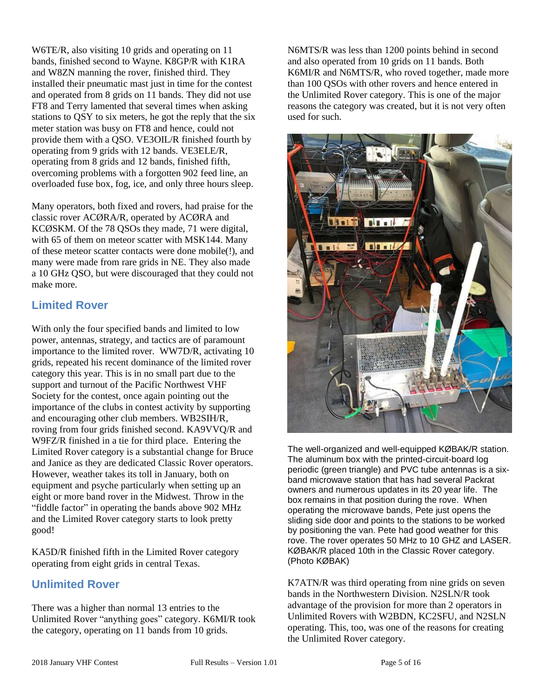W6TE/R, also visiting 10 grids and operating on 11 bands, finished second to Wayne. K8GP/R with K1RA and W8ZN manning the rover, finished third. They installed their pneumatic mast just in time for the contest and operated from 8 grids on 11 bands. They did not use FT8 and Terry lamented that several times when asking stations to QSY to six meters, he got the reply that the six meter station was busy on FT8 and hence, could not provide them with a QSO. VE3OIL/R finished fourth by operating from 9 grids with 12 bands. VE3ELE/R, operating from 8 grids and 12 bands, finished fifth, overcoming problems with a forgotten 902 feed line, an overloaded fuse box, fog, ice, and only three hours sleep.

Many operators, both fixed and rovers, had praise for the classic rover ACØRA/R, operated by ACØRA and KCØSKM. Of the 78 QSOs they made, 71 were digital, with 65 of them on meteor scatter with MSK144. Many of these meteor scatter contacts were done mobile(!), and many were made from rare grids in NE. They also made a 10 GHz QSO, but were discouraged that they could not make more.

# **Limited Rover**

With only the four specified bands and limited to low power, antennas, strategy, and tactics are of paramount importance to the limited rover. WW7D/R, activating 10 grids, repeated his recent dominance of the limited rover category this year. This is in no small part due to the support and turnout of the Pacific Northwest VHF Society for the contest, once again pointing out the importance of the clubs in contest activity by supporting and encouraging other club members. WB2SIH/R, roving from four grids finished second. KA9VVQ/R and W9FZ/R finished in a tie for third place. Entering the Limited Rover category is a substantial change for Bruce and Janice as they are dedicated Classic Rover operators. However, weather takes its toll in January, both on equipment and psyche particularly when setting up an eight or more band rover in the Midwest. Throw in the "fiddle factor" in operating the bands above 902 MHz and the Limited Rover category starts to look pretty good!

KA5D/R finished fifth in the Limited Rover category operating from eight grids in central Texas.

#### **Unlimited Rover**

There was a higher than normal 13 entries to the Unlimited Rover "anything goes" category. K6MI/R took the category, operating on 11 bands from 10 grids.

N6MTS/R was less than 1200 points behind in second and also operated from 10 grids on 11 bands. Both K6MI/R and N6MTS/R, who roved together, made more than 100 QSOs with other rovers and hence entered in the Unlimited Rover category. This is one of the major reasons the category was created, but it is not very often used for such.



The well-organized and well-equipped KØBAK/R station. The aluminum box with the printed-circuit-board log periodic (green triangle) and PVC tube antennas is a sixband microwave station that has had several Packrat owners and numerous updates in its 20 year life. The box remains in that position during the rove. When operating the microwave bands, Pete just opens the sliding side door and points to the stations to be worked by positioning the van. Pete had good weather for this rove. The rover operates 50 MHz to 10 GHZ and LASER. KØBAK/R placed 10th in the Classic Rover category. (Photo KØBAK)

K7ATN/R was third operating from nine grids on seven bands in the Northwestern Division. N2SLN/R took advantage of the provision for more than 2 operators in Unlimited Rovers with W2BDN, KC2SFU, and N2SLN operating. This, too, was one of the reasons for creating the Unlimited Rover category.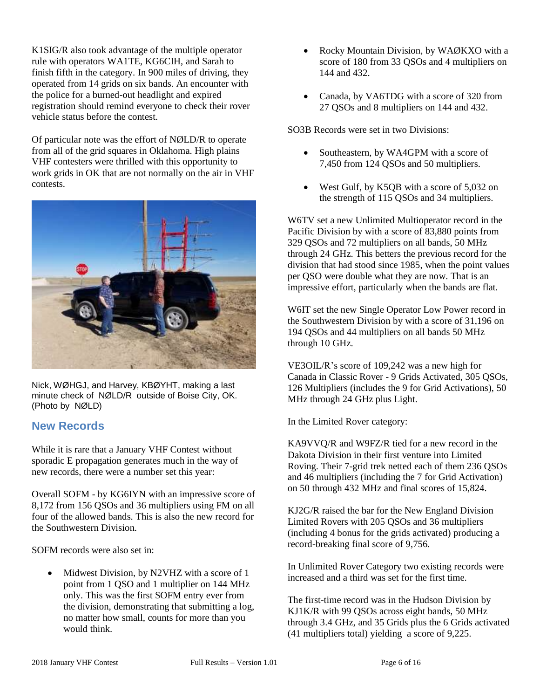K1SIG/R also took advantage of the multiple operator rule with operators WA1TE, KG6CIH, and Sarah to finish fifth in the category. In 900 miles of driving, they operated from 14 grids on six bands. An encounter with the police for a burned-out headlight and expired registration should remind everyone to check their rover vehicle status before the contest.

Of particular note was the effort of NØLD/R to operate from all of the grid squares in Oklahoma. High plains VHF contesters were thrilled with this opportunity to work grids in OK that are not normally on the air in VHF contests.



Nick, WØHGJ, and Harvey, KBØYHT, making a last minute check of NØLD/R outside of Boise City, OK. (Photo by NØLD)

#### **New Records**

While it is rare that a January VHF Contest without sporadic E propagation generates much in the way of new records, there were a number set this year:

Overall SOFM - by KG6IYN with an impressive score of 8,172 from 156 QSOs and 36 multipliers using FM on all four of the allowed bands. This is also the new record for the Southwestern Division.

SOFM records were also set in:

 Midwest Division, by N2VHZ with a score of 1 point from 1 QSO and 1 multiplier on 144 MHz only. This was the first SOFM entry ever from the division, demonstrating that submitting a log, no matter how small, counts for more than you would think.

- Rocky Mountain Division, by WAØKXO with a score of 180 from 33 QSOs and 4 multipliers on 144 and 432.
- Canada, by VA6TDG with a score of 320 from 27 QSOs and 8 multipliers on 144 and 432.

SO3B Records were set in two Divisions:

- Southeastern, by WA4GPM with a score of 7,450 from 124 QSOs and 50 multipliers.
- West Gulf, by K5OB with a score of 5,032 on the strength of 115 QSOs and 34 multipliers.

W6TV set a new Unlimited Multioperator record in the Pacific Division by with a score of 83,880 points from 329 QSOs and 72 multipliers on all bands, 50 MHz through 24 GHz. This betters the previous record for the division that had stood since 1985, when the point values per QSO were double what they are now. That is an impressive effort, particularly when the bands are flat.

W6IT set the new Single Operator Low Power record in the Southwestern Division by with a score of 31,196 on 194 QSOs and 44 multipliers on all bands 50 MHz through 10 GHz.

VE3OIL/R's score of 109,242 was a new high for Canada in Classic Rover - 9 Grids Activated, 305 QSOs, 126 Multipliers (includes the 9 for Grid Activations), 50 MHz through 24 GHz plus Light.

In the Limited Rover category:

KA9VVQ/R and W9FZ/R tied for a new record in the Dakota Division in their first venture into Limited Roving. Their 7-grid trek netted each of them 236 QSOs and 46 multipliers (including the 7 for Grid Activation) on 50 through 432 MHz and final scores of 15,824.

KJ2G/R raised the bar for the New England Division Limited Rovers with 205 QSOs and 36 multipliers (including 4 bonus for the grids activated) producing a record-breaking final score of 9,756.

In Unlimited Rover Category two existing records were increased and a third was set for the first time.

The first-time record was in the Hudson Division by KJ1K/R with 99 QSOs across eight bands, 50 MHz through 3.4 GHz, and 35 Grids plus the 6 Grids activated (41 multipliers total) yielding a score of 9,225.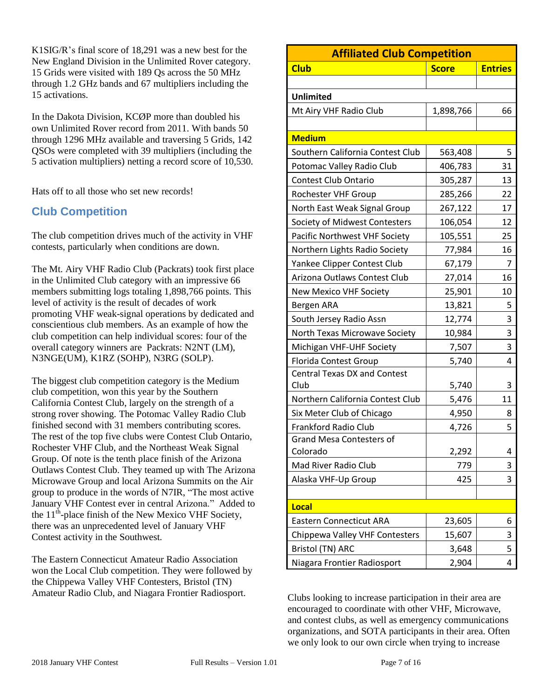K1SIG/R's final score of 18,291 was a new best for the New England Division in the Unlimited Rover category. 15 Grids were visited with 189 Qs across the 50 MHz through 1.2 GHz bands and 67 multipliers including the 15 activations.

In the Dakota Division, KCØP more than doubled his own Unlimited Rover record from 2011. With bands 50 through 1296 MHz available and traversing 5 Grids, 142 QSOs were completed with 39 multipliers (including the 5 activation multipliers) netting a record score of 10,530.

Hats off to all those who set new records!

# **Club Competition**

The club competition drives much of the activity in VHF contests, particularly when conditions are down.

The Mt. Airy VHF Radio Club (Packrats) took first place in the Unlimited Club category with an impressive 66 members submitting logs totaling 1,898,766 points. This level of activity is the result of decades of work promoting VHF weak-signal operations by dedicated and conscientious club members. As an example of how the club competition can help individual scores: four of the overall category winners are Packrats: N2NT (LM), N3NGE(UM), K1RZ (SOHP), N3RG (SOLP).

The biggest club competition category is the Medium club competition, won this year by the Southern California Contest Club, largely on the strength of a strong rover showing. The Potomac Valley Radio Club finished second with 31 members contributing scores. The rest of the top five clubs were Contest Club Ontario, Rochester VHF Club, and the Northeast Weak Signal Group. Of note is the tenth place finish of the Arizona Outlaws Contest Club. They teamed up with The Arizona Microwave Group and local Arizona Summits on the Air group to produce in the words of N7IR, "The most active January VHF Contest ever in central Arizona." Added to the  $11<sup>th</sup>$ -place finish of the New Mexico VHF Society, there was an unprecedented level of January VHF Contest activity in the Southwest.

The Eastern Connecticut Amateur Radio Association won the Local Club competition. They were followed by the Chippewa Valley VHF Contesters, Bristol (TN) Amateur Radio Club, and Niagara Frontier Radiosport.

| <b>Affiliated Club Competition</b>  |              |                |  |  |  |  |  |  |  |  |  |
|-------------------------------------|--------------|----------------|--|--|--|--|--|--|--|--|--|
| <b>Club</b>                         | <b>Score</b> | <b>Entries</b> |  |  |  |  |  |  |  |  |  |
|                                     |              |                |  |  |  |  |  |  |  |  |  |
| <b>Unlimited</b>                    |              |                |  |  |  |  |  |  |  |  |  |
| Mt Airy VHF Radio Club              | 1,898,766    | 66             |  |  |  |  |  |  |  |  |  |
|                                     |              |                |  |  |  |  |  |  |  |  |  |
| <b>Medium</b>                       |              |                |  |  |  |  |  |  |  |  |  |
| Southern California Contest Club    | 563,408      | 5              |  |  |  |  |  |  |  |  |  |
| Potomac Valley Radio Club           | 406,783      | 31             |  |  |  |  |  |  |  |  |  |
| <b>Contest Club Ontario</b>         | 305,287      | 13             |  |  |  |  |  |  |  |  |  |
| Rochester VHF Group                 | 285,266      | 22             |  |  |  |  |  |  |  |  |  |
| North East Weak Signal Group        | 267,122      | 17             |  |  |  |  |  |  |  |  |  |
| Society of Midwest Contesters       | 106,054      | 12             |  |  |  |  |  |  |  |  |  |
| Pacific Northwest VHF Society       | 105,551      | 25             |  |  |  |  |  |  |  |  |  |
| Northern Lights Radio Society       | 77,984       | 16             |  |  |  |  |  |  |  |  |  |
| Yankee Clipper Contest Club         | 67,179       | 7              |  |  |  |  |  |  |  |  |  |
| Arizona Outlaws Contest Club        | 27,014       | 16             |  |  |  |  |  |  |  |  |  |
| <b>New Mexico VHF Society</b>       | 25,901       | 10             |  |  |  |  |  |  |  |  |  |
| Bergen ARA                          | 13,821       | 5              |  |  |  |  |  |  |  |  |  |
| South Jersey Radio Assn             | 12,774       | 3              |  |  |  |  |  |  |  |  |  |
| North Texas Microwave Society       | 10,984       | 3              |  |  |  |  |  |  |  |  |  |
| Michigan VHF-UHF Society            | 7,507        | 3              |  |  |  |  |  |  |  |  |  |
| <b>Florida Contest Group</b>        | 5,740        | 4              |  |  |  |  |  |  |  |  |  |
| <b>Central Texas DX and Contest</b> |              |                |  |  |  |  |  |  |  |  |  |
| Club                                | 5,740        | 3              |  |  |  |  |  |  |  |  |  |
| Northern California Contest Club    | 5,476        | 11             |  |  |  |  |  |  |  |  |  |
| Six Meter Club of Chicago           | 4,950        | 8              |  |  |  |  |  |  |  |  |  |
| Frankford Radio Club                | 4,726        | 5              |  |  |  |  |  |  |  |  |  |
| <b>Grand Mesa Contesters of</b>     |              |                |  |  |  |  |  |  |  |  |  |
| Colorado                            | 2,292        | 4              |  |  |  |  |  |  |  |  |  |
| Mad River Radio Club                | 779          | 3              |  |  |  |  |  |  |  |  |  |
| Alaska VHF-Up Group                 | 425          | 3              |  |  |  |  |  |  |  |  |  |
|                                     |              |                |  |  |  |  |  |  |  |  |  |
| Local                               |              |                |  |  |  |  |  |  |  |  |  |
| <b>Eastern Connecticut ARA</b>      | 23,605       | 6              |  |  |  |  |  |  |  |  |  |
| Chippewa Valley VHF Contesters      | 15,607       | 3              |  |  |  |  |  |  |  |  |  |
| <b>Bristol (TN) ARC</b>             | 3,648        | 5              |  |  |  |  |  |  |  |  |  |
| Niagara Frontier Radiosport         | 2,904        | 4              |  |  |  |  |  |  |  |  |  |

Clubs looking to increase participation in their area are encouraged to coordinate with other VHF, Microwave, and contest clubs, as well as emergency communications organizations, and SOTA participants in their area. Often we only look to our own circle when trying to increase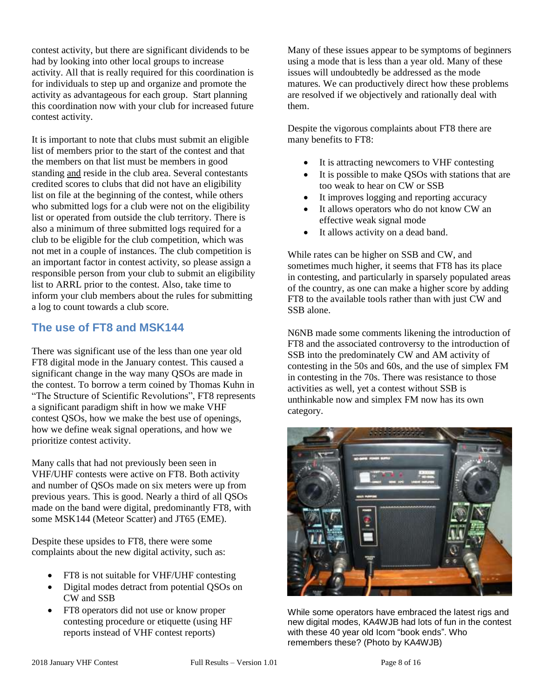contest activity, but there are significant dividends to be had by looking into other local groups to increase activity. All that is really required for this coordination is for individuals to step up and organize and promote the activity as advantageous for each group. Start planning this coordination now with your club for increased future contest activity.

It is important to note that clubs must submit an eligible list of members prior to the start of the contest and that the members on that list must be members in good standing and reside in the club area. Several contestants credited scores to clubs that did not have an eligibility list on file at the beginning of the contest, while others who submitted logs for a club were not on the eligibility list or operated from outside the club territory. There is also a minimum of three submitted logs required for a club to be eligible for the club competition, which was not met in a couple of instances. The club competition is an important factor in contest activity, so please assign a responsible person from your club to submit an eligibility list to ARRL prior to the contest. Also, take time to inform your club members about the rules for submitting a log to count towards a club score.

#### **The use of FT8 and MSK144**

There was significant use of the less than one year old FT8 digital mode in the January contest. This caused a significant change in the way many QSOs are made in the contest. To borrow a term coined by Thomas Kuhn in "The Structure of Scientific Revolutions", FT8 represents a significant paradigm shift in how we make VHF contest QSOs, how we make the best use of openings, how we define weak signal operations, and how we prioritize contest activity.

Many calls that had not previously been seen in VHF/UHF contests were active on FT8. Both activity and number of QSOs made on six meters were up from previous years. This is good. Nearly a third of all QSOs made on the band were digital, predominantly FT8, with some MSK144 (Meteor Scatter) and JT65 (EME).

Despite these upsides to FT8, there were some complaints about the new digital activity, such as:

- FT8 is not suitable for VHF/UHF contesting
- Digital modes detract from potential QSOs on CW and SSB
- FT8 operators did not use or know proper contesting procedure or etiquette (using HF reports instead of VHF contest reports)

Many of these issues appear to be symptoms of beginners using a mode that is less than a year old. Many of these issues will undoubtedly be addressed as the mode matures. We can productively direct how these problems are resolved if we objectively and rationally deal with them.

Despite the vigorous complaints about FT8 there are many benefits to FT8:

- It is attracting newcomers to VHF contesting
- It is possible to make QSOs with stations that are too weak to hear on CW or SSB
- It improves logging and reporting accuracy
- It allows operators who do not know CW an effective weak signal mode
- It allows activity on a dead band.

While rates can be higher on SSB and CW, and sometimes much higher, it seems that FT8 has its place in contesting, and particularly in sparsely populated areas of the country, as one can make a higher score by adding FT8 to the available tools rather than with just CW and SSB alone.

N6NB made some comments likening the introduction of FT8 and the associated controversy to the introduction of SSB into the predominately CW and AM activity of contesting in the 50s and 60s, and the use of simplex FM in contesting in the 70s. There was resistance to those activities as well, yet a contest without SSB is unthinkable now and simplex FM now has its own category.



While some operators have embraced the latest rigs and new digital modes, KA4WJB had lots of fun in the contest with these 40 year old Icom "book ends". Who remembers these? (Photo by KA4WJB)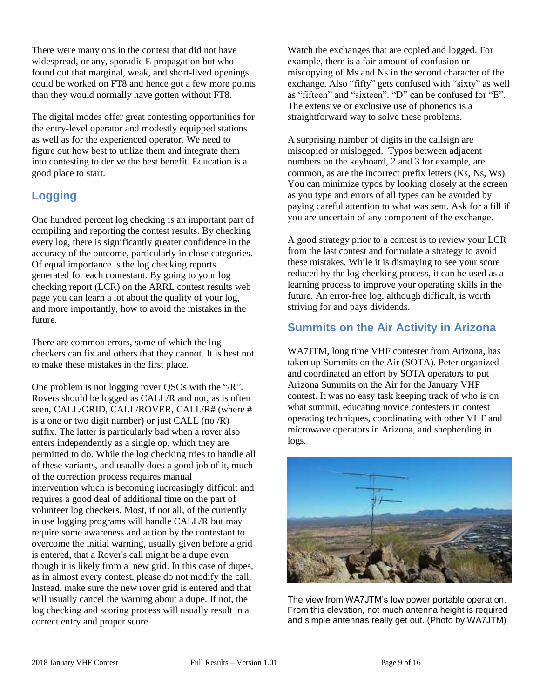There were many ops in the contest that did not have widespread, or any, sporadic E propagation but who found out that marginal, weak, and short-lived openings could be worked on FT8 and hence got a few more points than they would normally have gotten without FT8.

The digital modes offer great contesting opportunities for the entry-level operator and modestly equipped stations as well as for the experienced operator. We need to figure out how best to utilize them and integrate them into contesting to derive the best benefit. Education is a good place to start.

# **Logging**

One hundred percent log checking is an important part of compiling and reporting the contest results. By checking every log, there is significantly greater confidence in the accuracy of the outcome, particularly in close categories. Of equal importance is the log checking reports generated for each contestant. By going to your log checking report (LCR) on the ARRL contest results web page you can learn a lot about the quality of your log, and more importantly, how to avoid the mistakes in the future.

There are common errors, some of which the log checkers can fix and others that they cannot. It is best not to make these mistakes in the first place.

One problem is not logging rover QSOs with the "/R". Rovers should be logged as CALL/R and not, as is often seen, CALL/GRID, CALL/ROVER, CALL/R# (where # is a one or two digit number) or just CALL (no  $/R$ ) suffix. The latter is particularly bad when a rover also enters independently as a single op, which they are permitted to do. While the log checking tries to handle all of these variants, and usually does a good job of it, much of the correction process requires manual intervention which is becoming increasingly difficult and requires a good deal of additional time on the part of volunteer log checkers. Most, if not all, of the currently in use logging programs will handle CALL/R but may require some awareness and action by the contestant to overcome the initial warning, usually given before a grid is entered, that a Rover's call might be a dupe even though it is likely from a new grid. In this case of dupes, as in almost every contest, please do not modify the call. Instead, make sure the new rover grid is entered and that will usually cancel the warning about a dupe. If not, the log checking and scoring process will usually result in a correct entry and proper score.

Watch the exchanges that are copied and logged. For example, there is a fair amount of confusion or miscopying of Ms and Ns in the second character of the exchange. Also "fifty" gets confused with "sixty" as well as "fifteen" and "sixteen". "D" can be confused for "E". The extensive or exclusive use of phonetics is a straightforward way to solve these problems.

A surprising number of digits in the callsign are miscopied or mislogged. Typos between adjacent numbers on the keyboard, 2 and 3 for example, are common, as are the incorrect prefix letters (Ks, Ns, Ws). You can minimize typos by looking closely at the screen as you type and errors of all types can be avoided by paying careful attention to what was sent. Ask for a fill if you are uncertain of any component of the exchange.

A good strategy prior to a contest is to review your LCR from the last contest and formulate a strategy to avoid these mistakes. While it is dismaying to see your score reduced by the log checking process, it can be used as a learning process to improve your operating skills in the future. An error-free log, although difficult, is worth striving for and pays dividends.

### **Summits on the Air Activity in Arizona**

WA7JTM, long time VHF contester from Arizona, has taken up Summits on the Air (SOTA). Peter organized and coordinated an effort by SOTA operators to put Arizona Summits on the Air for the January VHF contest. It was no easy task keeping track of who is on what summit, educating novice contesters in contest operating techniques, coordinating with other VHF and microwave operators in Arizona, and shepherding in logs.



The view from WA7JTM's low power portable operation. From this elevation, not much antenna height is required and simple antennas really get out. (Photo by WA7JTM)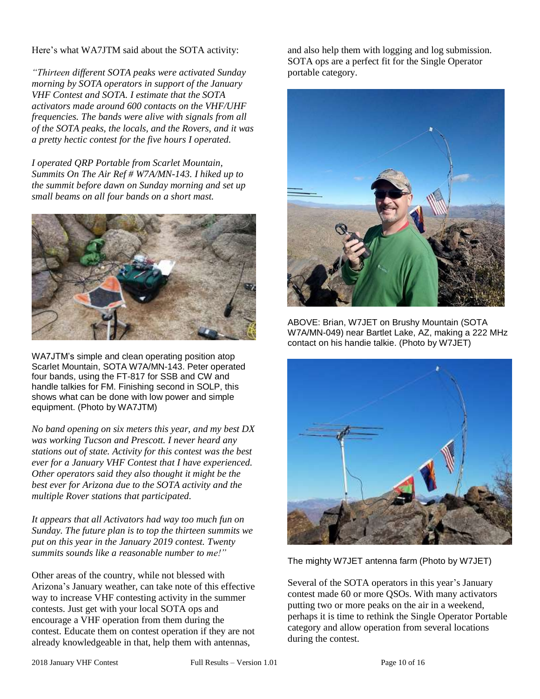Here's what WA7JTM said about the SOTA activity:

*"Thirteen different SOTA peaks were activated Sunday morning by SOTA operators in support of the January VHF Contest and SOTA. I estimate that the SOTA activators made around 600 contacts on the VHF/UHF frequencies. The bands were alive with signals from all of the SOTA peaks, the locals, and the Rovers, and it was a pretty hectic contest for the five hours I operated.*

*I operated QRP Portable from Scarlet Mountain, Summits On The Air Ref # W7A/MN-143. I hiked up to the summit before dawn on Sunday morning and set up small beams on all four bands on a short mast.*



WA7JTM's simple and clean operating position atop Scarlet Mountain, SOTA W7A/MN-143. Peter operated four bands, using the FT-817 for SSB and CW and handle talkies for FM. Finishing second in SOLP, this shows what can be done with low power and simple equipment. (Photo by WA7JTM)

*No band opening on six meters this year, and my best DX was working Tucson and Prescott. I never heard any stations out of state. Activity for this contest was the best ever for a January VHF Contest that I have experienced. Other operators said they also thought it might be the best ever for Arizona due to the SOTA activity and the multiple Rover stations that participated.*

*It appears that all Activators had way too much fun on Sunday. The future plan is to top the thirteen summits we put on this year in the January 2019 contest. Twenty summits sounds like a reasonable number to me!"*

Other areas of the country, while not blessed with Arizona's January weather, can take note of this effective way to increase VHF contesting activity in the summer contests. Just get with your local SOTA ops and encourage a VHF operation from them during the contest. Educate them on contest operation if they are not already knowledgeable in that, help them with antennas,

and also help them with logging and log submission. SOTA ops are a perfect fit for the Single Operator portable category.



ABOVE: Brian, W7JET on Brushy Mountain (SOTA W7A/MN-049) near Bartlet Lake, AZ, making a 222 MHz contact on his handie talkie. (Photo by W7JET)



The mighty W7JET antenna farm (Photo by W7JET)

Several of the SOTA operators in this year's January contest made 60 or more QSOs. With many activators putting two or more peaks on the air in a weekend, perhaps it is time to rethink the Single Operator Portable category and allow operation from several locations during the contest.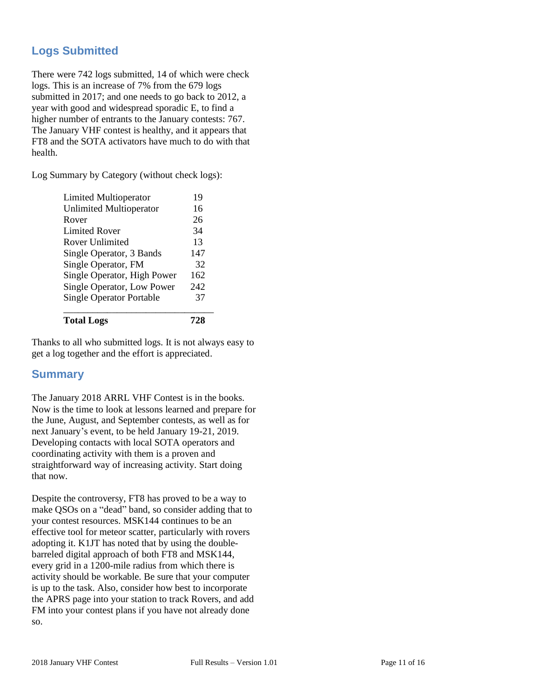# **Logs Submitted**

There were 742 logs submitted, 14 of which were check logs. This is an increase of 7% from the 679 logs submitted in 2017; and one needs to go back to 2012, a year with good and widespread sporadic E, to find a higher number of entrants to the January contests: 767. The January VHF contest is healthy, and it appears that FT8 and the SOTA activators have much to do with that health.

Log Summary by Category (without check logs):

| <b>Total Logs</b>               | 728 |
|---------------------------------|-----|
| <b>Single Operator Portable</b> | 37  |
| Single Operator, Low Power      | 242 |
| Single Operator, High Power     | 162 |
| Single Operator, FM             | 32  |
| Single Operator, 3 Bands        | 147 |
| <b>Rover Unlimited</b>          | 13  |
| Limited Rover                   | 34  |
| Rover                           | 26  |
| <b>Unlimited Multioperator</b>  | 16  |
| Limited Multioperator           | 19  |

Thanks to all who submitted logs. It is not always easy to get a log together and the effort is appreciated.

#### **Summary**

The January 2018 ARRL VHF Contest is in the books. Now is the time to look at lessons learned and prepare for the June, August, and September contests, as well as for next January's event, to be held January 19-21, 2019. Developing contacts with local SOTA operators and coordinating activity with them is a proven and straightforward way of increasing activity. Start doing that now.

Despite the controversy, FT8 has proved to be a way to make QSOs on a "dead" band, so consider adding that to your contest resources. MSK144 continues to be an effective tool for meteor scatter, particularly with rovers adopting it. K1JT has noted that by using the doublebarreled digital approach of both FT8 and MSK144, every grid in a 1200-mile radius from which there is activity should be workable. Be sure that your computer is up to the task. Also, consider how best to incorporate the APRS page into your station to track Rovers, and add FM into your contest plans if you have not already done so.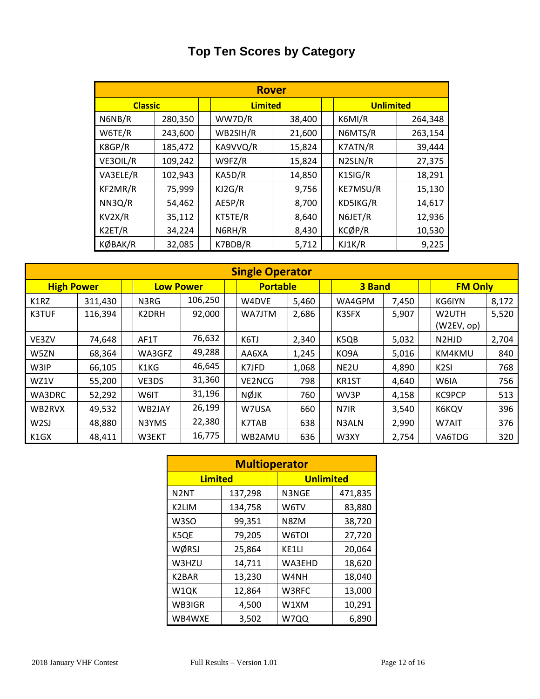# **Top Ten Scores by Category**

|                | <b>Rover</b> |  |                |        |  |                      |         |  |  |  |  |  |  |  |
|----------------|--------------|--|----------------|--------|--|----------------------|---------|--|--|--|--|--|--|--|
| <b>Classic</b> |              |  | <b>Limited</b> |        |  | <b>Unlimited</b>     |         |  |  |  |  |  |  |  |
| N6NB/R         | 280,350      |  | WW7D/R         | 38,400 |  | K6MI/R               | 264,348 |  |  |  |  |  |  |  |
| W6TE/R         | 243,600      |  | WB2SIH/R       | 21,600 |  | N6MTS/R              | 263,154 |  |  |  |  |  |  |  |
| K8GP/R         | 185,472      |  | KA9VVQ/R       | 15,824 |  | K7ATN/R              | 39,444  |  |  |  |  |  |  |  |
| VE3OIL/R       | 109,242      |  | W9FZ/R         | 15,824 |  | N <sub>2</sub> SLN/R | 27,375  |  |  |  |  |  |  |  |
| VA3ELE/R       | 102,943      |  | KA5D/R         | 14,850 |  | K1SIG/R              | 18,291  |  |  |  |  |  |  |  |
| KF2MR/R        | 75,999       |  | KJ2G/R         | 9,756  |  | KE7MSU/R             | 15,130  |  |  |  |  |  |  |  |
| NN3Q/R         | 54,462       |  | AE5P/R         | 8,700  |  | KD5IKG/R             | 14,617  |  |  |  |  |  |  |  |
| KV2X/R         | 35,112       |  | KT5TE/R        | 8,640  |  | N6JET/R              | 12,936  |  |  |  |  |  |  |  |
| K2ET/R         | 34,224       |  | N6RH/R         | 8,430  |  | KCØP/R               | 10,530  |  |  |  |  |  |  |  |
| KØBAK/R        | 32,085       |  | K7BDB/R        | 5,712  |  | KJ1K/R               | 9,225   |  |  |  |  |  |  |  |

|                   | <b>Single Operator</b> |  |                  |         |  |                 |       |  |                  |       |  |                                |       |  |
|-------------------|------------------------|--|------------------|---------|--|-----------------|-------|--|------------------|-------|--|--------------------------------|-------|--|
| <b>High Power</b> |                        |  | <b>Low Power</b> |         |  | <b>Portable</b> |       |  | 3 Band           |       |  | <b>FM Only</b>                 |       |  |
| K1RZ              | 311,430                |  | N3RG             | 106,250 |  | W4DVE           | 5,460 |  | WA4GPM           | 7,450 |  | KG6IYN                         | 8,172 |  |
| <b>K3TUF</b>      | 116,394                |  | K2DRH            | 92,000  |  | WA7JTM          | 2,686 |  | K3SFX            | 5,907 |  | W2UTH<br>(W2EV, op)            | 5,520 |  |
| VE3ZV             | 74,648                 |  | AF1T             | 76,632  |  | K6TJ            | 2,340 |  | K5QB             | 5,032 |  | N <sub>2</sub> HJ <sub>D</sub> | 2,704 |  |
| W5ZN              | 68,364                 |  | WA3GFZ           | 49,288  |  | AA6XA           | 1,245 |  | KO9A             | 5,016 |  | KM4KMU                         | 840   |  |
| W3IP              | 66,105                 |  | K1KG             | 46,645  |  | K7JFD           | 1,068 |  | NE <sub>2U</sub> | 4,890 |  | K <sub>2</sub> SI              | 768   |  |
| WZ1V              | 55,200                 |  | VE3DS            | 31,360  |  | <b>VE2NCG</b>   | 798   |  | KR1ST            | 4,640 |  | W6IA                           | 756   |  |
| WA3DRC            | 52,292                 |  | W6IT             | 31,196  |  | <b>NØJK</b>     | 760   |  | WV3P             | 4,158 |  | <b>KC9PCP</b>                  | 513   |  |
| WB2RVX            | 49,532                 |  | WB2JAY           | 26,199  |  | W7USA           | 660   |  | N7IR             | 3,540 |  | K6KQV                          | 396   |  |
| W <sub>2</sub> SJ | 48,880                 |  | N3YMS            | 22,380  |  | K7TAB           | 638   |  | N3ALN            | 2,990 |  | W7AIT                          | 376   |  |
| K1GX              | 48,411                 |  | W3EKT            | 16,775  |  | WB2AMU          | 636   |  | W3XY             | 2,754 |  | VA6TDG                         | 320   |  |

| <b>Multioperator</b> |         |  |                  |         |  |  |  |  |  |  |  |
|----------------------|---------|--|------------------|---------|--|--|--|--|--|--|--|
| <b>Limited</b>       |         |  | <b>Unlimited</b> |         |  |  |  |  |  |  |  |
| N <sub>2</sub> NT    | 137,298 |  | N3NGE            | 471,835 |  |  |  |  |  |  |  |
| K2LIM                | 134,758 |  | W6TV             | 83,880  |  |  |  |  |  |  |  |
| W3SO                 | 99,351  |  | N8ZM             | 38,720  |  |  |  |  |  |  |  |
| K5QE                 | 79,205  |  | W6TOI            | 27,720  |  |  |  |  |  |  |  |
| WØRSJ                | 25,864  |  | KE1LI            | 20,064  |  |  |  |  |  |  |  |
| W3HZU                | 14,711  |  | WA3EHD           | 18,620  |  |  |  |  |  |  |  |
| K2BAR                | 13,230  |  | W4NH             | 18,040  |  |  |  |  |  |  |  |
| W1QK                 | 12,864  |  | W3RFC            | 13,000  |  |  |  |  |  |  |  |
| WB3IGR               | 4,500   |  | W1XM             | 10,291  |  |  |  |  |  |  |  |
| WB4WXE               | 3,502   |  | W7QQ             | 6,890   |  |  |  |  |  |  |  |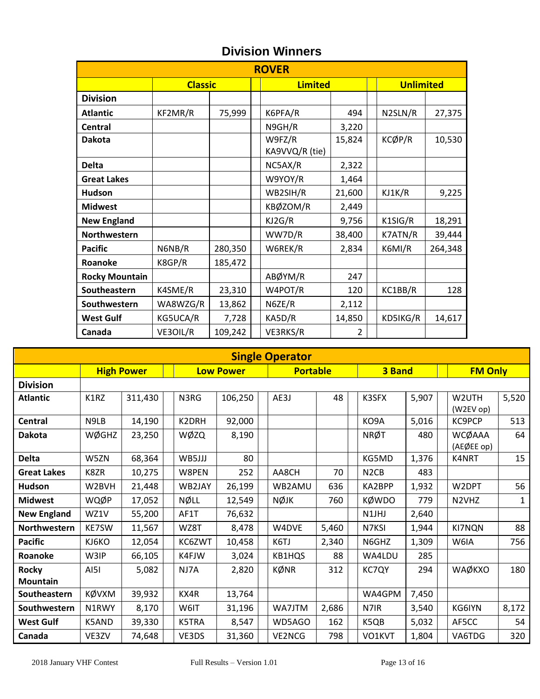| <b>ROVER</b>          |                |         |  |                          |        |  |                  |         |  |  |  |  |
|-----------------------|----------------|---------|--|--------------------------|--------|--|------------------|---------|--|--|--|--|
|                       | <b>Classic</b> |         |  | <b>Limited</b>           |        |  | <b>Unlimited</b> |         |  |  |  |  |
| <b>Division</b>       |                |         |  |                          |        |  |                  |         |  |  |  |  |
| <b>Atlantic</b>       | KF2MR/R        | 75,999  |  | K6PFA/R                  | 494    |  | N2SLN/R          | 27,375  |  |  |  |  |
| <b>Central</b>        |                |         |  | N9GH/R                   | 3,220  |  |                  |         |  |  |  |  |
| <b>Dakota</b>         |                |         |  | W9FZ/R<br>KA9VVQ/R (tie) | 15,824 |  | KCØP/R           | 10,530  |  |  |  |  |
| <b>Delta</b>          |                |         |  | NC5AX/R                  | 2,322  |  |                  |         |  |  |  |  |
| <b>Great Lakes</b>    |                |         |  | W9YOY/R                  | 1,464  |  |                  |         |  |  |  |  |
| <b>Hudson</b>         |                |         |  | WB2SIH/R                 | 21,600 |  | KJ1K/R           | 9,225   |  |  |  |  |
| <b>Midwest</b>        |                |         |  | KBØZOM/R                 | 2,449  |  |                  |         |  |  |  |  |
| <b>New England</b>    |                |         |  | KJ2G/R                   | 9,756  |  | K1SIG/R          | 18,291  |  |  |  |  |
| Northwestern          |                |         |  | WW7D/R                   | 38,400 |  | K7ATN/R          | 39,444  |  |  |  |  |
| <b>Pacific</b>        | N6NB/R         | 280,350 |  | W6REK/R                  | 2,834  |  | K6MI/R           | 264,348 |  |  |  |  |
| Roanoke               | K8GP/R         | 185,472 |  |                          |        |  |                  |         |  |  |  |  |
| <b>Rocky Mountain</b> |                |         |  | ABØYM/R                  | 247    |  |                  |         |  |  |  |  |
| Southeastern          | K4SME/R        | 23,310  |  | W4POT/R                  | 120    |  | KC1BB/R          | 128     |  |  |  |  |
| Southwestern          | WA8WZG/R       | 13,862  |  | N6ZE/R                   | 2,112  |  |                  |         |  |  |  |  |
| <b>West Gulf</b>      | KG5UCA/R       | 7,728   |  | KA5D/R                   | 14,850 |  | KD5IKG/R         | 14,617  |  |  |  |  |
| Canada                | VE3OIL/R       | 109,242 |  | VE3RKS/R                 | 2      |  |                  |         |  |  |  |  |

# **Division Winners**

|                                 | <b>Single Operator</b> |                   |  |        |                  |  |                 |       |  |                               |       |  |                                |              |
|---------------------------------|------------------------|-------------------|--|--------|------------------|--|-----------------|-------|--|-------------------------------|-------|--|--------------------------------|--------------|
|                                 |                        | <b>High Power</b> |  |        | <b>Low Power</b> |  | <b>Portable</b> |       |  | 3 Band                        |       |  | <b>FM Only</b>                 |              |
| <b>Division</b>                 |                        |                   |  |        |                  |  |                 |       |  |                               |       |  |                                |              |
| <b>Atlantic</b>                 | K1RZ                   | 311,430           |  | N3RG   | 106,250          |  | AE3J            | 48    |  | K3SFX                         | 5,907 |  | W <sub>2</sub> UTH<br>(W2EVop) | 5,520        |
| <b>Central</b>                  | N9LB                   | 14,190            |  | K2DRH  | 92,000           |  |                 |       |  | KO9A                          | 5,016 |  | KC9PCP                         | 513          |
| <b>Dakota</b>                   | <b>WØGHZ</b>           | 23,250            |  | WØZQ   | 8,190            |  |                 |       |  | <b>NRØT</b>                   | 480   |  | <b>WCØAAA</b><br>(AEØEE op)    | 64           |
| <b>Delta</b>                    | W5ZN                   | 68,364            |  | WB5JJJ | 80               |  |                 |       |  | KG5MD                         | 1,376 |  | K4NRT                          | 15           |
| <b>Great Lakes</b>              | K8ZR                   | 10,275            |  | W8PEN  | 252              |  | AA8CH           | 70    |  | N <sub>2</sub> C <sub>B</sub> | 483   |  |                                |              |
| <b>Hudson</b>                   | W2BVH                  | 21,448            |  | WB2JAY | 26,199           |  | WB2AMU          | 636   |  | KA2BPP                        | 1,932 |  | W2DPT                          | 56           |
| <b>Midwest</b>                  | WQØP                   | 17,052            |  | NØLL   | 12,549           |  | <b>NØJK</b>     | 760   |  | <b>KØWDO</b>                  | 779   |  | N <sub>2</sub> VH <sub>Z</sub> | $\mathbf{1}$ |
| <b>New England</b>              | WZ1V                   | 55,200            |  | AF1T   | 76,632           |  |                 |       |  | N1JHJ                         | 2,640 |  |                                |              |
| Northwestern                    | KE7SW                  | 11,567            |  | WZ8T   | 8,478            |  | W4DVE           | 5,460 |  | N7KSI                         | 1,944 |  | KI7NQN                         | 88           |
| <b>Pacific</b>                  | KJ6KO                  | 12,054            |  | KC6ZWT | 10,458           |  | K6TJ            | 2,340 |  | N6GHZ                         | 1,309 |  | W6IA                           | 756          |
| Roanoke                         | W3IP                   | 66,105            |  | K4FJW  | 3,024            |  | KB1HQS          | 88    |  | WA4LDU                        | 285   |  |                                |              |
| <b>Rocky</b><br><b>Mountain</b> | AI5I                   | 5,082             |  | NJ7A   | 2,820            |  | KØNR            | 312   |  | KC7QY                         | 294   |  | WAØKXO                         | 180          |
| Southeastern                    | KØVXM                  | 39,932            |  | KX4R   | 13,764           |  |                 |       |  | WA4GPM                        | 7,450 |  |                                |              |
| Southwestern                    | N1RWY                  | 8,170             |  | W6IT   | 31,196           |  | WA7JTM          | 2,686 |  | N7IR                          | 3,540 |  | KG6IYN                         | 8,172        |
| <b>West Gulf</b>                | K5AND                  | 39,330            |  | K5TRA  | 8,547            |  | WD5AGO          | 162   |  | K5QB                          | 5,032 |  | AF5CC                          | 54           |
| Canada                          | VE3ZV                  | 74,648            |  | VE3DS  | 31,360           |  | VE2NCG          | 798   |  | VO1KVT                        | 1,804 |  | VA6TDG                         | 320          |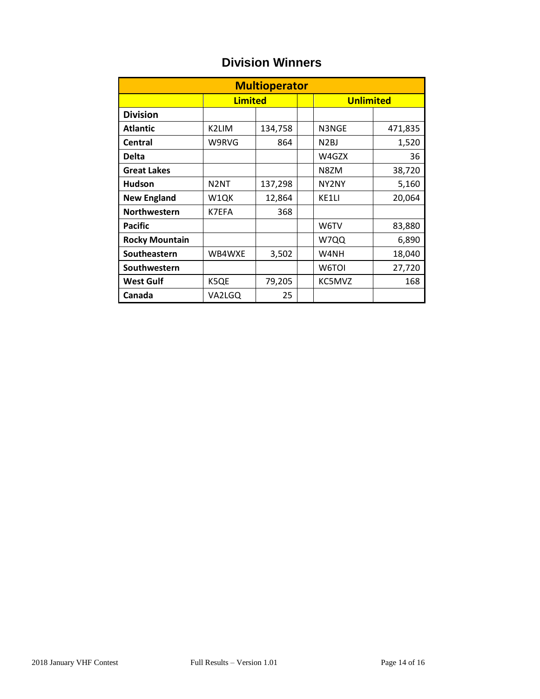| <b>Multioperator</b>  |                   |         |  |                   |         |  |  |  |  |  |  |
|-----------------------|-------------------|---------|--|-------------------|---------|--|--|--|--|--|--|
|                       | <b>Limited</b>    |         |  | <b>Unlimited</b>  |         |  |  |  |  |  |  |
| <b>Division</b>       |                   |         |  |                   |         |  |  |  |  |  |  |
| <b>Atlantic</b>       | K2LIM             | 134,758 |  | N3NGE             | 471,835 |  |  |  |  |  |  |
| <b>Central</b>        | W9RVG             | 864     |  | N <sub>2</sub> BJ | 1,520   |  |  |  |  |  |  |
| <b>Delta</b>          |                   |         |  | W4GZX             | 36      |  |  |  |  |  |  |
| <b>Great Lakes</b>    |                   |         |  | N8ZM              | 38,720  |  |  |  |  |  |  |
| <b>Hudson</b>         | N <sub>2</sub> NT | 137,298 |  | NY2NY             | 5,160   |  |  |  |  |  |  |
| <b>New England</b>    | W1QK              | 12,864  |  | KE1LI             | 20,064  |  |  |  |  |  |  |
| Northwestern          | K7EFA             | 368     |  |                   |         |  |  |  |  |  |  |
| <b>Pacific</b>        |                   |         |  | W6TV              | 83,880  |  |  |  |  |  |  |
| <b>Rocky Mountain</b> |                   |         |  | W7QQ              | 6,890   |  |  |  |  |  |  |
| Southeastern          | WB4WXE            | 3,502   |  | W4NH              | 18,040  |  |  |  |  |  |  |
| Southwestern          |                   |         |  | W6TOI             | 27,720  |  |  |  |  |  |  |
| <b>West Gulf</b>      | K5QE              | 79,205  |  | KC5MVZ            | 168     |  |  |  |  |  |  |
| Canada                | VA2LGQ            | 25      |  |                   |         |  |  |  |  |  |  |

# **Division Winners**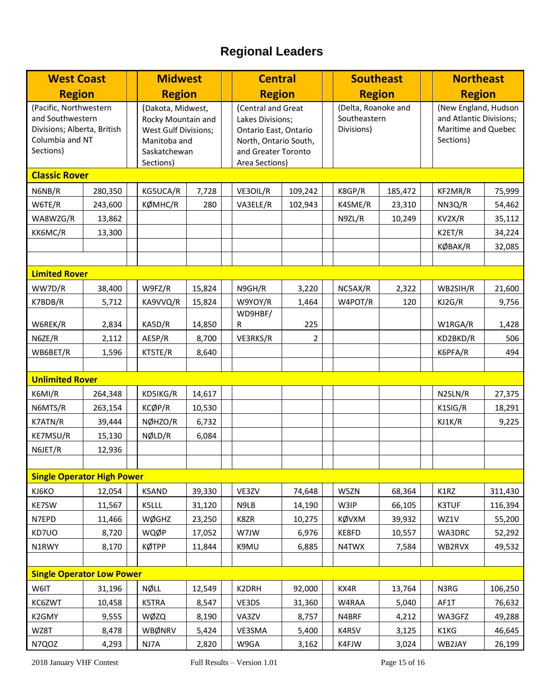# **Regional Leaders**

| <b>West Coast</b>                                                                                         |         | <b>Midwest</b>                                                                                               |        |  | <b>Central</b>                                                                                                                    |         |  | <b>Southeast</b>                                  |         |  | <b>Northeast</b>                                                                    |         |
|-----------------------------------------------------------------------------------------------------------|---------|--------------------------------------------------------------------------------------------------------------|--------|--|-----------------------------------------------------------------------------------------------------------------------------------|---------|--|---------------------------------------------------|---------|--|-------------------------------------------------------------------------------------|---------|
| <b>Region</b>                                                                                             |         | <b>Region</b>                                                                                                |        |  | <b>Region</b>                                                                                                                     |         |  | <b>Region</b>                                     |         |  | <b>Region</b>                                                                       |         |
| (Pacific, Northwestern<br>and Southwestern<br>Divisions; Alberta, British<br>Columbia and NT<br>Sections) |         | (Dakota, Midwest,<br>Rocky Mountain and<br>West Gulf Divisions;<br>Manitoba and<br>Saskatchewan<br>Sections) |        |  | (Central and Great<br>Lakes Divisions;<br>Ontario East, Ontario<br>North, Ontario South,<br>and Greater Toronto<br>Area Sections) |         |  | (Delta, Roanoke and<br>Southeastern<br>Divisions) |         |  | (New England, Hudson<br>and Atlantic Divisions;<br>Maritime and Quebec<br>Sections) |         |
| <b>Classic Rover</b>                                                                                      |         |                                                                                                              |        |  |                                                                                                                                   |         |  |                                                   |         |  |                                                                                     |         |
| N6NB/R                                                                                                    | 280,350 | KG5UCA/R                                                                                                     | 7,728  |  | VE3OIL/R                                                                                                                          | 109,242 |  | K8GP/R                                            | 185,472 |  | KF2MR/R                                                                             | 75,999  |
| W6TE/R                                                                                                    | 243,600 | KØMHC/R                                                                                                      | 280    |  | VA3ELE/R                                                                                                                          | 102,943 |  | K4SME/R                                           | 23,310  |  | NN3Q/R                                                                              | 54,462  |
| WA8WZG/R                                                                                                  | 13,862  |                                                                                                              |        |  |                                                                                                                                   |         |  | N9ZL/R                                            | 10,249  |  | KV2X/R                                                                              | 35,112  |
| KK6MC/R                                                                                                   | 13,300  |                                                                                                              |        |  |                                                                                                                                   |         |  |                                                   |         |  | K2ET/R                                                                              | 34,224  |
|                                                                                                           |         |                                                                                                              |        |  |                                                                                                                                   |         |  |                                                   |         |  | KØBAK/R                                                                             | 32,085  |
|                                                                                                           |         |                                                                                                              |        |  |                                                                                                                                   |         |  |                                                   |         |  |                                                                                     |         |
| <b>Limited Rover</b>                                                                                      |         |                                                                                                              |        |  |                                                                                                                                   |         |  |                                                   |         |  |                                                                                     |         |
| WW7D/R                                                                                                    | 38,400  | W9FZ/R                                                                                                       | 15,824 |  | N9GH/R                                                                                                                            | 3,220   |  | NC5AX/R                                           | 2,322   |  | WB2SIH/R                                                                            | 21,600  |
| K7BDB/R                                                                                                   | 5,712   | KA9VVQ/R                                                                                                     | 15,824 |  | W9YOY/R                                                                                                                           | 1,464   |  | W4POT/R                                           | 120     |  | KJ2G/R                                                                              | 9,756   |
|                                                                                                           |         |                                                                                                              |        |  | WD9HBF/                                                                                                                           |         |  |                                                   |         |  |                                                                                     |         |
| W6REK/R                                                                                                   | 2,834   | KA5D/R                                                                                                       | 14,850 |  | R                                                                                                                                 | 225     |  |                                                   |         |  | W1RGA/R                                                                             | 1,428   |
| N6ZE/R                                                                                                    | 2,112   | AE5P/R                                                                                                       | 8,700  |  | VE3RKS/R                                                                                                                          | 2       |  |                                                   |         |  | KD2BKD/R                                                                            | 506     |
| WB6BET/R                                                                                                  | 1,596   | KT5TE/R                                                                                                      | 8,640  |  |                                                                                                                                   |         |  |                                                   |         |  | K6PFA/R                                                                             | 494     |
| <b>Unlimited Rover</b>                                                                                    |         |                                                                                                              |        |  |                                                                                                                                   |         |  |                                                   |         |  |                                                                                     |         |
| K6MI/R                                                                                                    | 264,348 | KD5IKG/R                                                                                                     | 14,617 |  |                                                                                                                                   |         |  |                                                   |         |  | N2SLN/R                                                                             | 27,375  |
| N6MTS/R                                                                                                   | 263,154 | KCØP/R                                                                                                       | 10,530 |  |                                                                                                                                   |         |  |                                                   |         |  | K1SIG/R                                                                             | 18,291  |
| K7ATN/R                                                                                                   | 39,444  | NØHZO/R                                                                                                      | 6,732  |  |                                                                                                                                   |         |  |                                                   |         |  | KJ1K/R                                                                              | 9,225   |
| KE7MSU/R                                                                                                  | 15,130  | NØLD/R                                                                                                       | 6,084  |  |                                                                                                                                   |         |  |                                                   |         |  |                                                                                     |         |
| N6JET/R                                                                                                   | 12,936  |                                                                                                              |        |  |                                                                                                                                   |         |  |                                                   |         |  |                                                                                     |         |
|                                                                                                           |         |                                                                                                              |        |  |                                                                                                                                   |         |  |                                                   |         |  |                                                                                     |         |
| <b>Single Operator High Power</b>                                                                         |         |                                                                                                              |        |  |                                                                                                                                   |         |  |                                                   |         |  |                                                                                     |         |
| KJ6KO                                                                                                     | 12,054  | K5AND                                                                                                        | 39,330 |  | VE3ZV                                                                                                                             | 74,648  |  | W5ZN                                              | 68,364  |  | K1RZ                                                                                | 311,430 |
| KE7SW                                                                                                     | 11,567  | K5LLL                                                                                                        | 31,120 |  | N9LB                                                                                                                              | 14,190  |  | W3IP                                              | 66,105  |  | <b>K3TUF</b>                                                                        | 116,394 |
| N7EPD                                                                                                     | 11,466  | WØGHZ                                                                                                        | 23,250 |  | K8ZR                                                                                                                              | 10,275  |  | KØVXM                                             | 39,932  |  | WZ1V                                                                                | 55,200  |
| KD7UO                                                                                                     | 8,720   | WQØP                                                                                                         | 17,052 |  | W7JW                                                                                                                              | 6,976   |  | KE8FD                                             | 10,557  |  | WA3DRC                                                                              | 52,292  |
| N1RWY                                                                                                     | 8,170   | <b>KØTPP</b>                                                                                                 | 11,844 |  | K9MU                                                                                                                              | 6,885   |  | N4TWX                                             | 7,584   |  | WB2RVX                                                                              | 49,532  |
|                                                                                                           |         |                                                                                                              |        |  |                                                                                                                                   |         |  |                                                   |         |  |                                                                                     |         |
| <b>Single Operator Low Power</b>                                                                          |         |                                                                                                              |        |  |                                                                                                                                   |         |  |                                                   |         |  |                                                                                     |         |
| W6IT                                                                                                      | 31,196  | <b>NØLL</b>                                                                                                  | 12,549 |  | K2DRH                                                                                                                             | 92,000  |  | KX4R                                              | 13,764  |  | N3RG                                                                                | 106,250 |
| KC6ZWT                                                                                                    | 10,458  | K5TRA                                                                                                        | 8,547  |  | VE3DS                                                                                                                             | 31,360  |  | W4RAA                                             | 5,040   |  | AF1T                                                                                | 76,632  |
| K2GMY                                                                                                     | 9,555   | WØZQ                                                                                                         | 8,190  |  | VA3ZV                                                                                                                             | 8,757   |  | N4BRF                                             | 4,212   |  | WA3GFZ                                                                              | 49,288  |
| WZ8T                                                                                                      | 8,478   | WBØNRV                                                                                                       | 5,424  |  | VE3SMA                                                                                                                            | 5,400   |  | K4RSV                                             | 3,125   |  | K1KG                                                                                | 46,645  |
| N7QOZ                                                                                                     | 4,293   | NJ7A                                                                                                         | 2,820  |  | W9GA                                                                                                                              | 3,162   |  | K4FJW                                             | 3,024   |  | WB2JAY                                                                              | 26,199  |